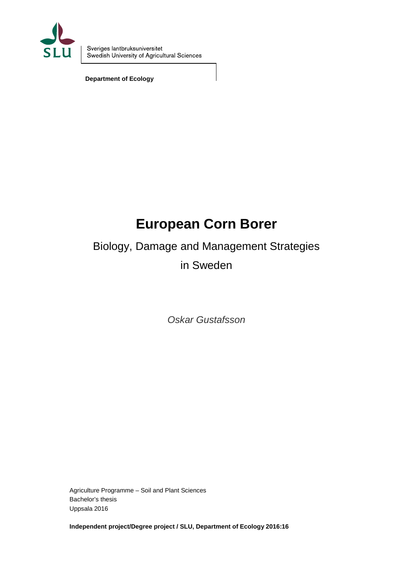

**Department of Ecology**

# **European Corn Borer**

# Biology, Damage and Management Strategies

in Sweden

*Oskar Gustafsson*

Agriculture Programme – Soil and Plant Sciences Bachelor's thesis Uppsala 2016

**Independent project/Degree project / SLU, Department of Ecology 2016:16**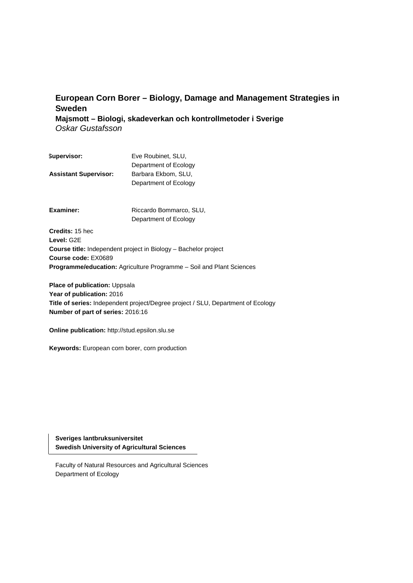# **European Corn Borer – Biology, Damage and Management Strategies in Sweden**

**Majsmott – Biologi, skadeverkan och kontrollmetoder i Sverige** *Oskar Gustafsson*

| Supervisor:                  | Eve Roubinet, SLU,    |
|------------------------------|-----------------------|
|                              | Department of Ecology |
| <b>Assistant Supervisor:</b> | Barbara Ekbom, SLU,   |
|                              | Department of Ecology |

**Examiner:** Riccardo Bommarco, SLU, Department of Ecology

**Credits:** 15 hec **Level:** G2E **Course title:** Independent project in Biology – Bachelor project **Course code:** EX0689 **Programme/education:** Agriculture Programme – Soil and Plant Sciences

**Place of publication: Uppsala** Year of publication: 2016 **Title of series:** Independent project/Degree project / SLU, Department of Ecology **Number of part of series:** 2016:16

**Online publication:** [http://stud.epsilon.slu.se](http://stud.epsilon.slu.se/)

**Keywords:** European corn borer, corn production

**Sveriges lantbruksuniversitet Swedish University of Agricultural Sciences**

Faculty of Natural Resources and Agricultural Sciences Department of Ecology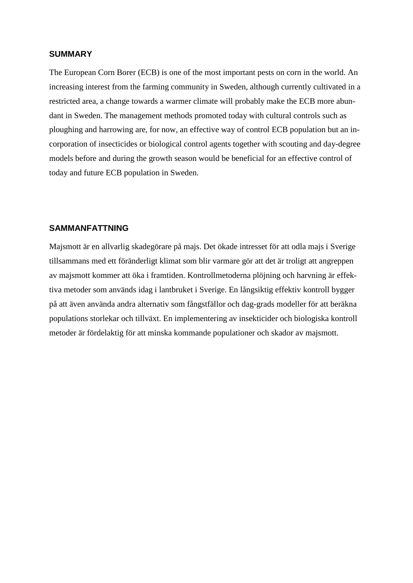# **SUMMARY**

The European Corn Borer (ECB) is one of the most important pests on corn in the world. An increasing interest from the farming community in Sweden, although currently cultivated in a restricted area, a change towards a warmer climate will probably make the ECB more abundant in Sweden. The management methods promoted today with cultural controls such as ploughing and harrowing are, for now, an effective way of control ECB population but an incorporation of insecticides or biological control agents together with scouting and day-degree models before and during the growth season would be beneficial for an effective control of today and future ECB population in Sweden.

# **SAMMANFATTNING**

Majsmott är en allvarlig skadegörare på majs. Det ökade intresset för att odla majs i Sverige tillsammans med ett föränderligt klimat som blir varmare gör att det är troligt att angreppen av majsmott kommer att öka i framtiden. Kontrollmetoderna plöjning och harvning är effektiva metoder som används idag i lantbruket i Sverige. En långsiktig effektiv kontroll bygger på att även använda andra alternativ som fångstfällor och dag-grads modeller för att beräkna populations storlekar och tillväxt. En implementering av insekticider och biologiska kontroll metoder är fördelaktig för att minska kommande populationer och skador av majsmott.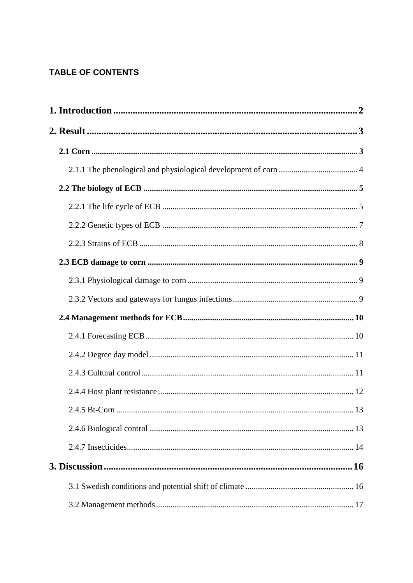# **TABLE OF CONTENTS**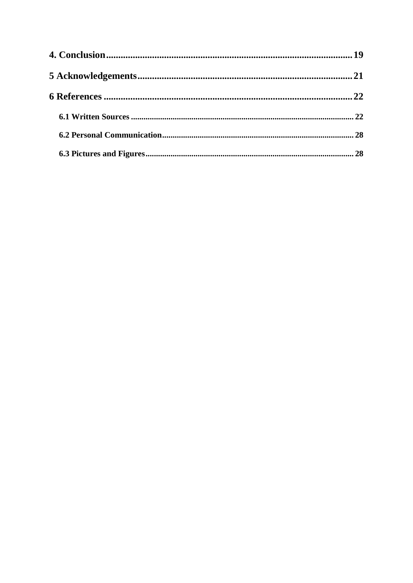| 28 |
|----|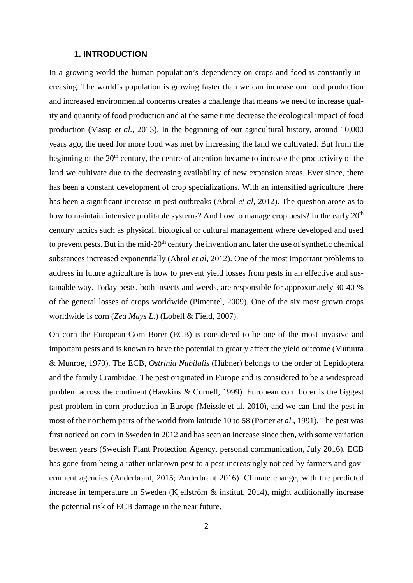# **1. INTRODUCTION**

<span id="page-6-0"></span>In a growing world the human population's dependency on crops and food is constantly increasing. The world's population is growing faster than we can increase our food production and increased environmental concerns creates a challenge that means we need to increase quality and quantity of food production and at the same time decrease the ecological impact of food production (Masip *et al.*, 2013). In the beginning of our agricultural history, around 10,000 years ago, the need for more food was met by increasing the land we cultivated. But from the beginning of the  $20<sup>th</sup>$  century, the centre of attention became to increase the productivity of the land we cultivate due to the decreasing availability of new expansion areas. Ever since, there has been a constant development of crop specializations. With an intensified agriculture there has been a significant increase in pest outbreaks (Abrol *et al*, 2012). The question arose as to how to maintain intensive profitable systems? And how to manage crop pests? In the early  $20<sup>th</sup>$ century tactics such as physical, biological or cultural management where developed and used to prevent pests. But in the mid-20<sup>th</sup> century the invention and later the use of synthetic chemical substances increased exponentially (Abrol *et al*, 2012). One of the most important problems to address in future agriculture is how to prevent yield losses from pests in an effective and sustainable way. Today pests, both insects and weeds, are responsible for approximately 30-40 % of the general losses of crops worldwide (Pimentel, 2009). One of the six most grown crops worldwide is corn (*Zea Mays L.*) (Lobell & Field, 2007).

On corn the European Corn Borer (ECB) is considered to be one of the most invasive and important pests and is known to have the potential to greatly affect the yield outcome (Mutuura & Munroe, 1970). The ECB*, Ostrinia Nubilalis* (Hübner) belongs to the order of Lepidoptera and the family Crambidae. The pest originated in Europe and is considered to be a widespread problem across the continent (Hawkins & Cornell, 1999). European corn borer is the biggest pest problem in corn production in Europe (Meissle et al. 2010), and we can find the pest in most of the northern parts of the world from latitude 10 to 58 (Porter *et al.*, 1991). The pest was first noticed on corn in Sweden in 2012 and has seen an increase since then, with some variation between years (Swedish Plant Protection Agency, personal communication, July 2016). ECB has gone from being a rather unknown pest to a pest increasingly noticed by farmers and government agencies (Anderbrant, 2015; Anderbrant 2016). Climate change, with the predicted increase in temperature in Sweden (Kjellström & institut, 2014), might additionally increase the potential risk of ECB damage in the near future.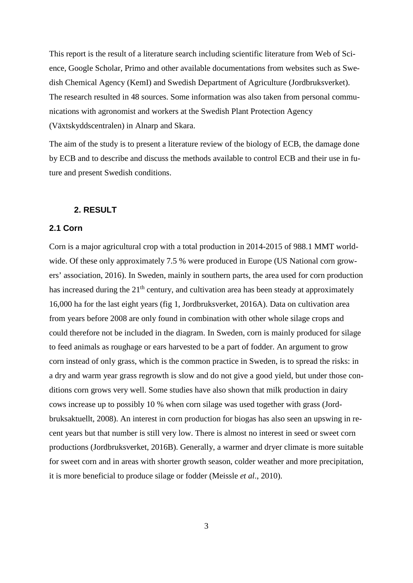This report is the result of a literature search including scientific literature from Web of Science, Google Scholar, Primo and other available documentations from websites such as Swedish Chemical Agency (KemI) and Swedish Department of Agriculture (Jordbruksverket). The research resulted in 48 sources. Some information was also taken from personal communications with agronomist and workers at the Swedish Plant Protection Agency (Växtskyddscentralen) in Alnarp and Skara.

The aim of the study is to present a literature review of the biology of ECB, the damage done by ECB and to describe and discuss the methods available to control ECB and their use in future and present Swedish conditions.

# **2. RESULT**

# <span id="page-7-1"></span><span id="page-7-0"></span>**2.1 Corn**

Corn is a major agricultural crop with a total production in 2014-2015 of 988.1 MMT worldwide. Of these only approximately 7.5 % were produced in Europe (US National corn growers' association, 2016). In Sweden, mainly in southern parts, the area used for corn production has increased during the  $21<sup>th</sup>$  century, and cultivation area has been steady at approximately 16,000 ha for the last eight years (fig 1, Jordbruksverket, 2016A). Data on cultivation area from years before 2008 are only found in combination with other whole silage crops and could therefore not be included in the diagram. In Sweden, corn is mainly produced for silage to feed animals as roughage or ears harvested to be a part of fodder. An argument to grow corn instead of only grass, which is the common practice in Sweden, is to spread the risks: in a dry and warm year grass regrowth is slow and do not give a good yield, but under those conditions corn grows very well. Some studies have also shown that milk production in dairy cows increase up to possibly 10 % when corn silage was used together with grass (Jordbruksaktuellt, 2008). An interest in corn production for biogas has also seen an upswing in recent years but that number is still very low. There is almost no interest in seed or sweet corn productions (Jordbruksverket, 2016B). Generally, a warmer and dryer climate is more suitable for sweet corn and in areas with shorter growth season, colder weather and more precipitation, it is more beneficial to produce silage or fodder (Meissle *et al*., 2010).

3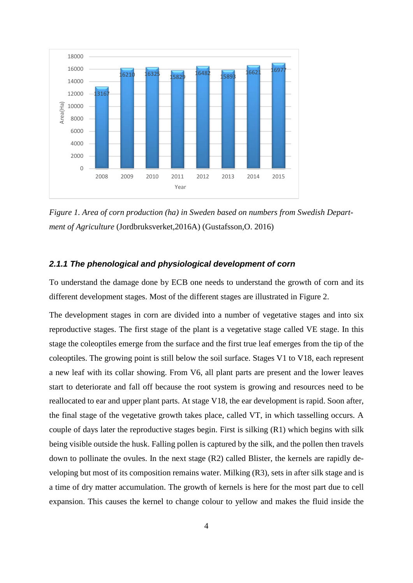

*Figure 1. Area of corn production (ha) in Sweden based on numbers from Swedish Department of Agriculture* (Jordbruksverket,2016A) (Gustafsson,O. 2016)

# <span id="page-8-0"></span>*2.1.1 The phenological and physiological development of corn*

To understand the damage done by ECB one needs to understand the growth of corn and its different development stages. Most of the different stages are illustrated in Figure 2.

The development stages in corn are divided into a number of vegetative stages and into six reproductive stages. The first stage of the plant is a vegetative stage called VE stage. In this stage the coleoptiles emerge from the surface and the first true leaf emerges from the tip of the coleoptiles. The growing point is still below the soil surface. Stages V1 to V18, each represent a new leaf with its collar showing. From V6, all plant parts are present and the lower leaves start to deteriorate and fall off because the root system is growing and resources need to be reallocated to ear and upper plant parts. At stage V18, the ear development is rapid. Soon after, the final stage of the vegetative growth takes place, called VT, in which tasselling occurs. A couple of days later the reproductive stages begin. First is silking (R1) which begins with silk being visible outside the husk. Falling pollen is captured by the silk, and the pollen then travels down to pollinate the ovules. In the next stage  $(R2)$  called Blister, the kernels are rapidly developing but most of its composition remains water. Milking (R3), sets in after silk stage and is a time of dry matter accumulation. The growth of kernels is here for the most part due to cell expansion. This causes the kernel to change colour to yellow and makes the fluid inside the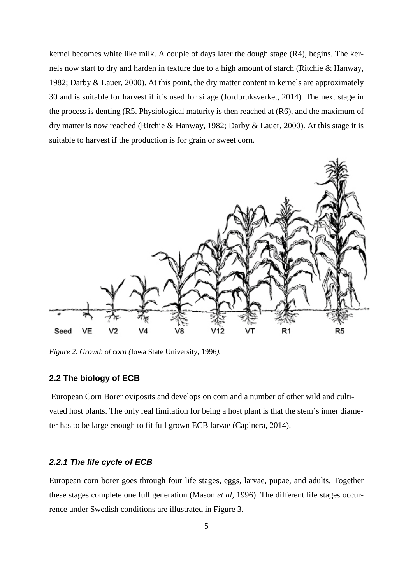kernel becomes white like milk. A couple of days later the dough stage (R4), begins. The kernels now start to dry and harden in texture due to a high amount of starch (Ritchie & Hanway, 1982; Darby & Lauer, 2000). At this point, the dry matter content in kernels are approximately 30 and is suitable for harvest if it´s used for silage (Jordbruksverket, 2014). The next stage in the process is denting (R5. Physiological maturity is then reached at (R6), and the maximum of dry matter is now reached (Ritchie & Hanway, 1982; Darby & Lauer, 2000). At this stage it is suitable to harvest if the production is for grain or sweet corn.



*Figure 2*. *Growth of corn (*Iowa State University, 1996*).*

#### <span id="page-9-0"></span>**2.2 The biology of ECB**

European Corn Borer oviposits and develops on corn and a number of other wild and cultivated host plants. The only real limitation for being a host plant is that the stem's inner diameter has to be large enough to fit full grown ECB larvae (Capinera, 2014).

# <span id="page-9-1"></span>*2.2.1 The life cycle of ECB*

European corn borer goes through four life stages, eggs, larvae, pupae, and adults. Together these stages complete one full generation (Mason *et al*, 1996). The different life stages occurrence under Swedish conditions are illustrated in Figure 3.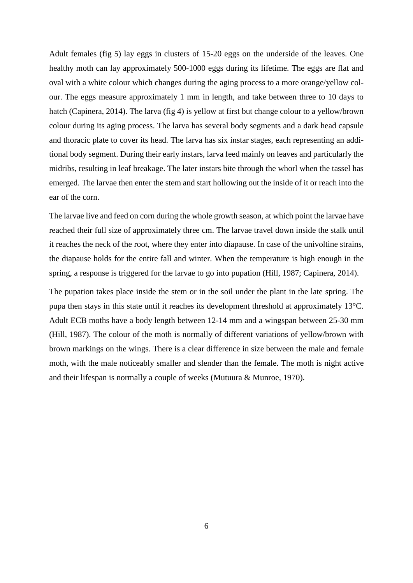Adult females (fig 5) lay eggs in clusters of 15-20 eggs on the underside of the leaves. One healthy moth can lay approximately 500-1000 eggs during its lifetime. The eggs are flat and oval with a white colour which changes during the aging process to a more orange/yellow colour. The eggs measure approximately 1 mm in length, and take between three to 10 days to hatch (Capinera, 2014). The larva (fig 4) is yellow at first but change colour to a yellow/brown colour during its aging process. The larva has several body segments and a dark head capsule and thoracic plate to cover its head. The larva has six instar stages, each representing an additional body segment. During their early instars, larva feed mainly on leaves and particularly the midribs, resulting in leaf breakage. The later instars bite through the whorl when the tassel has emerged. The larvae then enter the stem and start hollowing out the inside of it or reach into the ear of the corn.

The larvae live and feed on corn during the whole growth season, at which point the larvae have reached their full size of approximately three cm. The larvae travel down inside the stalk until it reaches the neck of the root, where they enter into diapause. In case of the univoltine strains, the diapause holds for the entire fall and winter. When the temperature is high enough in the spring, a response is triggered for the larvae to go into pupation (Hill, 1987; Capinera, 2014).

The pupation takes place inside the stem or in the soil under the plant in the late spring. The pupa then stays in this state until it reaches its development threshold at approximately 13°C. Adult ECB moths have a body length between 12-14 mm and a wingspan between 25-30 mm (Hill, 1987). The colour of the moth is normally of different variations of yellow/brown with brown markings on the wings. There is a clear difference in size between the male and female moth, with the male noticeably smaller and slender than the female. The moth is night active and their lifespan is normally a couple of weeks (Mutuura & Munroe, 1970).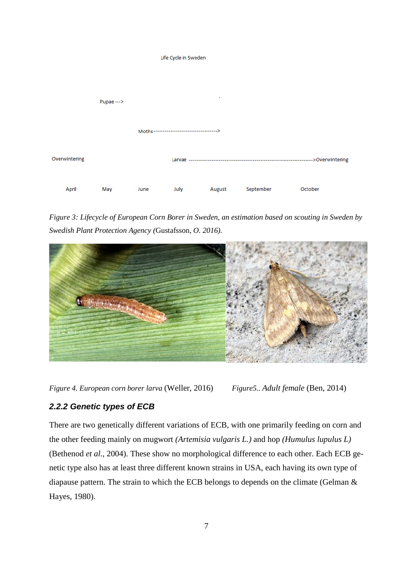

*Figure 3: Lifecycle of European Corn Borer in Sweden, an estimation based on scouting in Sweden by Swedish Plant Protection Agency (*Gustafsson*, O. 2016).* 



*Figure 4. European corn borer larva* (Weller, 2016) *Figure5.. Adult female* (Ben, 2014)

# <span id="page-11-0"></span>*2.2.2 Genetic types of ECB*

There are two genetically different variations of ECB, with one primarily feeding on corn and the other feeding mainly on mugwort *(Artemisia vulgaris L.)* and hop *(Humulus lupulus L)* (Bethenod *et al.*, 2004). These show no morphological difference to each other. Each ECB genetic type also has at least three different known strains in USA, each having its own type of diapause pattern. The strain to which the ECB belongs to depends on the climate (Gelman & Hayes, 1980).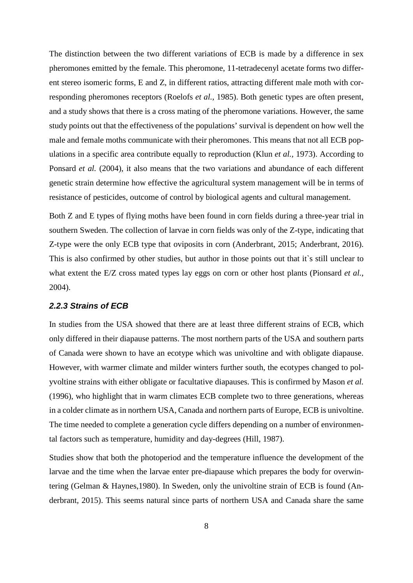The distinction between the two different variations of ECB is made by a difference in sex pheromones emitted by the female. This pheromone, 11-tetradecenyl acetate forms two different stereo isomeric forms, E and Z, in different ratios, attracting different male moth with corresponding pheromones receptors (Roelofs *et al.*, 1985). Both genetic types are often present, and a study shows that there is a cross mating of the pheromone variations. However, the same study points out that the effectiveness of the populations' survival is dependent on how well the male and female moths communicate with their pheromones. This means that not all ECB populations in a specific area contribute equally to reproduction (Klun *et al.,* 1973). According to Ponsard *et al.* (2004), it also means that the two variations and abundance of each different genetic strain determine how effective the agricultural system management will be in terms of resistance of pesticides, outcome of control by biological agents and cultural management.

Both Z and E types of flying moths have been found in corn fields during a three-year trial in southern Sweden. The collection of larvae in corn fields was only of the Z-type, indicating that Z-type were the only ECB type that oviposits in corn (Anderbrant, 2015; Anderbrant, 2016). This is also confirmed by other studies, but author in those points out that it`s still unclear to what extent the E/Z cross mated types lay eggs on corn or other host plants (Pionsard *et al.*, 2004).

#### <span id="page-12-0"></span>*2.2.3 Strains of ECB*

In studies from the USA showed that there are at least three different strains of ECB, which only differed in their diapause patterns. The most northern parts of the USA and southern parts of Canada were shown to have an ecotype which was univoltine and with obligate diapause. However, with warmer climate and milder winters further south, the ecotypes changed to polyvoltine strains with either obligate or facultative diapauses. This is confirmed by Mason *et al.* (1996), who highlight that in warm climates ECB complete two to three generations, whereas in a colder climate as in northern USA, Canada and northern parts of Europe, ECB is univoltine. The time needed to complete a generation cycle differs depending on a number of environmental factors such as temperature, humidity and day-degrees (Hill, 1987).

Studies show that both the photoperiod and the temperature influence the development of the larvae and the time when the larvae enter pre-diapause which prepares the body for overwintering (Gelman & Haynes,1980). In Sweden, only the univoltine strain of ECB is found (Anderbrant, 2015). This seems natural since parts of northern USA and Canada share the same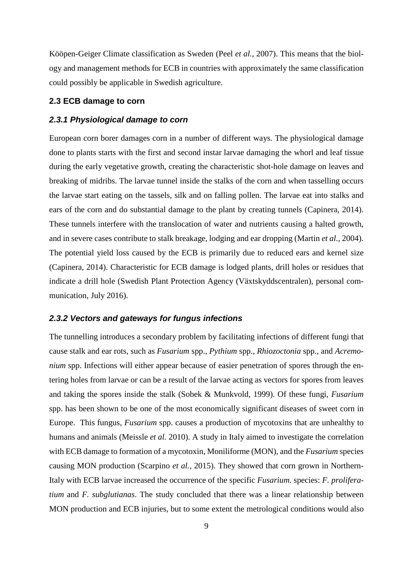Kööpen-Geiger Climate classification as Sweden (Peel *et al.,* 2007). This means that the biology and management methods for ECB in countries with approximately the same classification could possibly be applicable in Swedish agriculture.

#### <span id="page-13-0"></span>**2.3 ECB damage to corn**

# <span id="page-13-1"></span>*2.3.1 Physiological damage to corn*

European corn borer damages corn in a number of different ways. The physiological damage done to plants starts with the first and second instar larvae damaging the whorl and leaf tissue during the early vegetative growth, creating the characteristic shot-hole damage on leaves and breaking of midribs. The larvae tunnel inside the stalks of the corn and when tasselling occurs the larvae start eating on the tassels, silk and on falling pollen. The larvae eat into stalks and ears of the corn and do substantial damage to the plant by creating tunnels (Capinera, 2014). These tunnels interfere with the translocation of water and nutrients causing a halted growth, and in severe cases contribute to stalk breakage, lodging and ear dropping (Martin *et al.*, 2004). The potential yield loss caused by the ECB is primarily due to reduced ears and kernel size (Capinera, 2014). Characteristic for ECB damage is lodged plants, drill holes or residues that indicate a drill hole (Swedish Plant Protection Agency (Växtskyddscentralen), personal communication, July 2016).

# <span id="page-13-2"></span>*2.3.2 Vectors and gateways for fungus infections*

The tunnelling introduces a secondary problem by facilitating infections of different fungi that cause stalk and ear rots, such as *Fusarium* spp., *Pythium* spp., *Rhiozoctonia* spp., and *Acremonium* spp. Infections will either appear because of easier penetration of spores through the entering holes from larvae or can be a result of the larvae acting as vectors for spores from leaves and taking the spores inside the stalk (Sobek & Munkvold, 1999). Of these fungi, *Fusarium* spp. has been shown to be one of the most economically significant diseases of sweet corn in Europe. This fungus, *Fusarium* spp. causes a production of mycotoxins that are unhealthy to humans and animals (Meissle *et al.* 2010). A study in Italy aimed to investigate the correlation with ECB damage to formation of a mycotoxin, Moniliforme (MON), and the *Fusarium* species causing MON production (Scarpino *et al.*, 2015). They showed that corn grown in Northern-Italy with ECB larvae increased the occurrence of the specific *Fusarium.* species: *F. proliferatium* and *F. subglutianas*. The study concluded that there was a linear relationship between MON production and ECB injuries, but to some extent the metrological conditions would also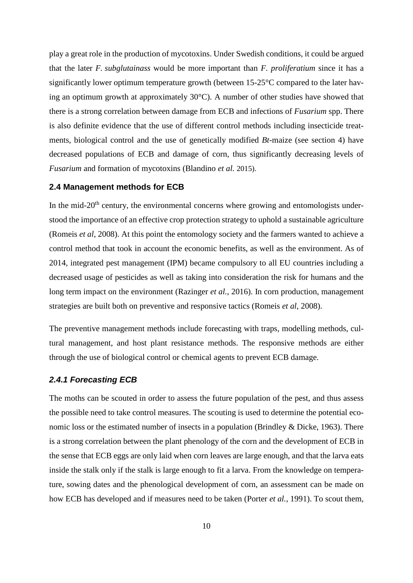play a great role in the production of mycotoxins. Under Swedish conditions, it could be argued that the later *F. subglutainass* would be more important than *F. proliferatium* since it has a significantly lower optimum temperature growth (between 15-25°C compared to the later having an optimum growth at approximately 30°C). A number of other studies have showed that there is a strong correlation between damage from ECB and infections of *Fusarium* spp. There is also definite evidence that the use of different control methods including insecticide treatments, biological control and the use of genetically modified *Bt*-maize (see section 4) have decreased populations of ECB and damage of corn, thus significantly decreasing levels of *Fusarium* and formation of mycotoxins (Blandino *et al.* 2015).

# <span id="page-14-0"></span>**2.4 Management methods for ECB**

In the mid- $20<sup>th</sup>$  century, the environmental concerns where growing and entomologists understood the importance of an effective crop protection strategy to uphold a sustainable agriculture (Romeis *et al*, 2008). At this point the entomology society and the farmers wanted to achieve a control method that took in account the economic benefits, as well as the environment. As of 2014, integrated pest management (IPM) became compulsory to all EU countries including a decreased usage of pesticides as well as taking into consideration the risk for humans and the long term impact on the environment (Razinger *et al.*, 2016). In corn production, management strategies are built both on preventive and responsive tactics (Romeis *et al*, 2008).

The preventive management methods include forecasting with traps, modelling methods, cultural management, and host plant resistance methods. The responsive methods are either through the use of biological control or chemical agents to prevent ECB damage.

#### <span id="page-14-1"></span>*2.4.1 Forecasting ECB*

The moths can be scouted in order to assess the future population of the pest, and thus assess the possible need to take control measures. The scouting is used to determine the potential economic loss or the estimated number of insects in a population (Brindley & Dicke, 1963). There is a strong correlation between the plant phenology of the corn and the development of ECB in the sense that ECB eggs are only laid when corn leaves are large enough, and that the larva eats inside the stalk only if the stalk is large enough to fit a larva. From the knowledge on temperature, sowing dates and the phenological development of corn, an assessment can be made on how ECB has developed and if measures need to be taken (Porter *et al.*, 1991). To scout them,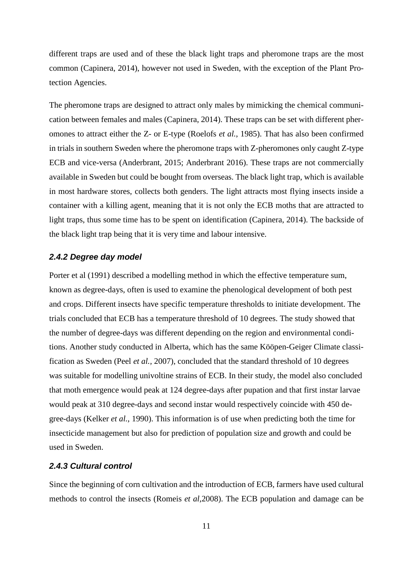different traps are used and of these the black light traps and pheromone traps are the most common (Capinera, 2014), however not used in Sweden, with the exception of the Plant Protection Agencies.

The pheromone traps are designed to attract only males by mimicking the chemical communication between females and males (Capinera, 2014). These traps can be set with different pheromones to attract either the Z- or E-type (Roelofs *et al.*, 1985). That has also been confirmed in trials in southern Sweden where the pheromone traps with Z-pheromones only caught Z-type ECB and vice-versa (Anderbrant, 2015; Anderbrant 2016). These traps are not commercially available in Sweden but could be bought from overseas. The black light trap, which is available in most hardware stores, collects both genders. The light attracts most flying insects inside a container with a killing agent, meaning that it is not only the ECB moths that are attracted to light traps, thus some time has to be spent on identification (Capinera, 2014). The backside of the black light trap being that it is very time and labour intensive.

# <span id="page-15-0"></span>*2.4.2 Degree day model*

Porter et al (1991) described a modelling method in which the effective temperature sum, known as degree-days, often is used to examine the phenological development of both pest and crops. Different insects have specific temperature thresholds to initiate development. The trials concluded that ECB has a temperature threshold of 10 degrees. The study showed that the number of degree-days was different depending on the region and environmental conditions. Another study conducted in Alberta, which has the same Kööpen-Geiger Climate classification as Sweden (Peel *et al.,* 2007), concluded that the standard threshold of 10 degrees was suitable for modelling univoltine strains of ECB. In their study, the model also concluded that moth emergence would peak at 124 degree-days after pupation and that first instar larvae would peak at 310 degree-days and second instar would respectively coincide with 450 degree-days (Kelker *et al.*, 1990). This information is of use when predicting both the time for insecticide management but also for prediction of population size and growth and could be used in Sweden.

# <span id="page-15-1"></span>*2.4.3 Cultural control*

Since the beginning of corn cultivation and the introduction of ECB, farmers have used cultural methods to control the insects (Romeis *et al*,2008). The ECB population and damage can be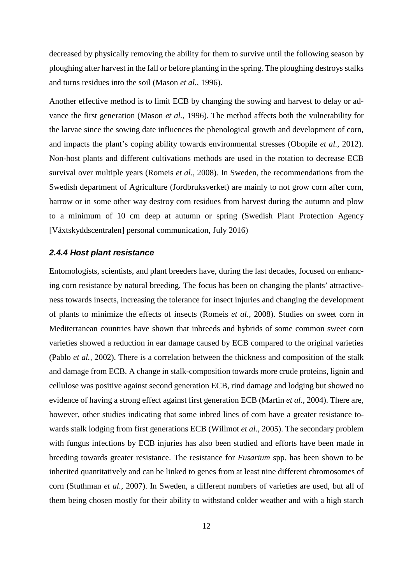decreased by physically removing the ability for them to survive until the following season by ploughing after harvest in the fall or before planting in the spring. The ploughing destroys stalks and turns residues into the soil (Mason *et al.*, 1996).

Another effective method is to limit ECB by changing the sowing and harvest to delay or advance the first generation (Mason *et al.*, 1996). The method affects both the vulnerability for the larvae since the sowing date influences the phenological growth and development of corn, and impacts the plant's coping ability towards environmental stresses (Obopile *et al.*, 2012). Non-host plants and different cultivations methods are used in the rotation to decrease ECB survival over multiple years (Romeis *et al.*, 2008). In Sweden, the recommendations from the Swedish department of Agriculture (Jordbruksverket) are mainly to not grow corn after corn, harrow or in some other way destroy corn residues from harvest during the autumn and plow to a minimum of 10 cm deep at autumn or spring (Swedish Plant Protection Agency [Växtskyddscentralen] personal communication, July 2016)

#### <span id="page-16-0"></span>*2.4.4 Host plant resistance*

Entomologists, scientists, and plant breeders have, during the last decades, focused on enhancing corn resistance by natural breeding. The focus has been on changing the plants' attractiveness towards insects, increasing the tolerance for insect injuries and changing the development of plants to minimize the effects of insects (Romeis *et al.,* 2008). Studies on sweet corn in Mediterranean countries have shown that inbreeds and hybrids of some common sweet corn varieties showed a reduction in ear damage caused by ECB compared to the original varieties (Pablo *et al.,* 2002). There is a correlation between the thickness and composition of the stalk and damage from ECB. A change in stalk-composition towards more crude proteins, lignin and cellulose was positive against second generation ECB, rind damage and lodging but showed no evidence of having a strong effect against first generation ECB (Martin *et al.*, 2004). There are, however, other studies indicating that some inbred lines of corn have a greater resistance towards stalk lodging from first generations ECB (Willmot *et al.*, 2005). The secondary problem with fungus infections by ECB injuries has also been studied and efforts have been made in breeding towards greater resistance. The resistance for *Fusarium* spp. has been shown to be inherited quantitatively and can be linked to genes from at least nine different chromosomes of corn (Stuthman *et al.*, 2007). In Sweden, a different numbers of varieties are used, but all of them being chosen mostly for their ability to withstand colder weather and with a high starch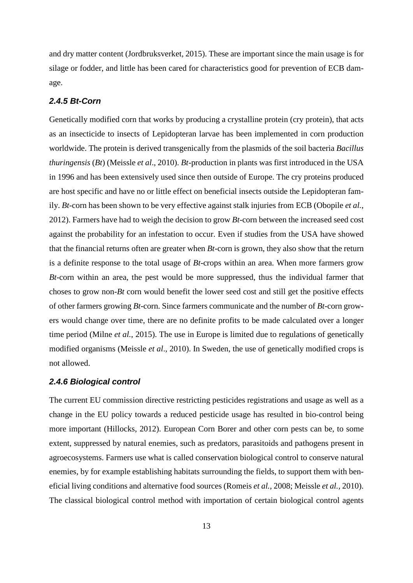and dry matter content (Jordbruksverket, 2015). These are important since the main usage is for silage or fodder, and little has been cared for characteristics good for prevention of ECB damage.

# <span id="page-17-0"></span>*2.4.5 Bt-Corn*

Genetically modified corn that works by producing a crystalline protein (cry protein), that acts as an insecticide to insects of Lepidopteran larvae has been implemented in corn production worldwide. The protein is derived transgenically from the plasmids of the soil bacteria *Bacillus thuringensis* (*Bt*) (Meissle *et al*., 2010). *Bt*-production in plants was first introduced in the USA in 1996 and has been extensively used since then outside of Europe. The cry proteins produced are host specific and have no or little effect on beneficial insects outside the Lepidopteran family. *Bt*-corn has been shown to be very effective against stalk injuries from ECB (Obopile *et al.*, 2012). Farmers have had to weigh the decision to grow *Bt*-corn between the increased seed cost against the probability for an infestation to occur. Even if studies from the USA have showed that the financial returns often are greater when *Bt*-corn is grown, they also show that the return is a definite response to the total usage of *Bt*-crops within an area. When more farmers grow *Bt*-corn within an area, the pest would be more suppressed, thus the individual farmer that choses to grow non-*Bt* corn would benefit the lower seed cost and still get the positive effects of other farmers growing *Bt-*corn. Since farmers communicate and the number of *Bt-*corn growers would change over time, there are no definite profits to be made calculated over a longer time period (Milne *et al.*, 2015). The use in Europe is limited due to regulations of genetically modified organisms (Meissle *et al*., 2010). In Sweden, the use of genetically modified crops is not allowed.

#### <span id="page-17-1"></span>*2.4.6 Biological control*

The current EU commission directive restricting pesticides registrations and usage as well as a change in the EU policy towards a reduced pesticide usage has resulted in bio-control being more important (Hillocks, 2012). European Corn Borer and other corn pests can be, to some extent, suppressed by natural enemies, such as predators, parasitoids and pathogens present in agroecosystems. Farmers use what is called conservation biological control to conserve natural enemies, by for example establishing habitats surrounding the fields, to support them with beneficial living conditions and alternative food sources (Romeis *et al.*, 2008; Meissle *et al.,* 2010). The classical biological control method with importation of certain biological control agents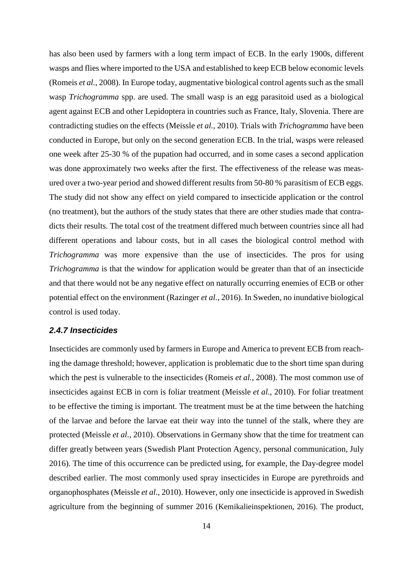has also been used by farmers with a long term impact of ECB. In the early 1900s, different wasps and flies where imported to the USA and established to keep ECB below economic levels (Romeis *et al.*, 2008). In Europe today, augmentative biological control agents such as the small wasp *Trichogramma* spp. are used. The small wasp is an egg parasitoid used as a biological agent against ECB and other Lepidoptera in countries such as France, Italy, Slovenia. There are contradicting studies on the effects (Meissle *et al.,* 2010). Trials with *Trichogramma* have been conducted in Europe, but only on the second generation ECB. In the trial, wasps were released one week after 25-30 % of the pupation had occurred, and in some cases a second application was done approximately two weeks after the first. The effectiveness of the release was measured over a two-year period and showed different results from 50-80 % parasitism of ECB eggs. The study did not show any effect on yield compared to insecticide application or the control (no treatment), but the authors of the study states that there are other studies made that contradicts their results. The total cost of the treatment differed much between countries since all had different operations and labour costs, but in all cases the biological control method with *Trichogramma* was more expensive than the use of insecticides. The pros for using *Trichogramma* is that the window for application would be greater than that of an insecticide and that there would not be any negative effect on naturally occurring enemies of ECB or other potential effect on the environment (Razinger *et al.*, 2016). In Sweden, no inundative biological control is used today.

# <span id="page-18-0"></span>*2.4.7 Insecticides*

Insecticides are commonly used by farmers in Europe and America to prevent ECB from reaching the damage threshold; however, application is problematic due to the short time span during which the pest is vulnerable to the insecticides (Romeis *et al.*, 2008). The most common use of insecticides against ECB in corn is foliar treatment (Meissle *et al*., 2010). For foliar treatment to be effective the timing is important. The treatment must be at the time between the hatching of the larvae and before the larvae eat their way into the tunnel of the stalk, where they are protected (Meissle *et al*., 2010). Observations in Germany show that the time for treatment can differ greatly between years (Swedish Plant Protection Agency, personal communication, July 2016). The time of this occurrence can be predicted using, for example, the Day-degree model described earlier. The most commonly used spray insecticides in Europe are pyrethroids and organophosphates (Meissle *et al*., 2010). However, only one insecticide is approved in Swedish agriculture from the beginning of summer 2016 (Kemikalieinspektionen, 2016). The product,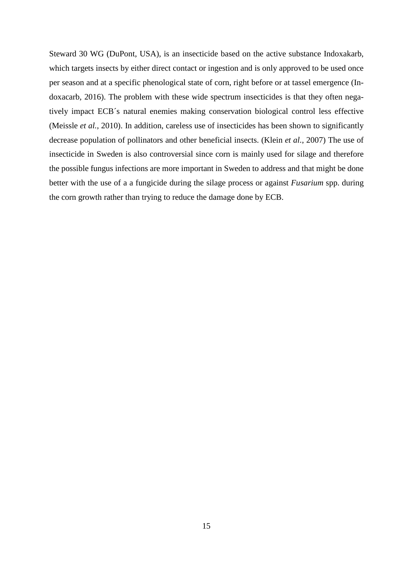Steward 30 WG (DuPont, USA), is an insecticide based on the active substance Indoxakarb, which targets insects by either direct contact or ingestion and is only approved to be used once per season and at a specific phenological state of corn, right before or at tassel emergence (Indoxacarb, 2016). The problem with these wide spectrum insecticides is that they often negatively impact ECB´s natural enemies making conservation biological control less effective (Meissle *et al.,* 2010). In addition, careless use of insecticides has been shown to significantly decrease population of pollinators and other beneficial insects. (Klein *et al.*, 2007) The use of insecticide in Sweden is also controversial since corn is mainly used for silage and therefore the possible fungus infections are more important in Sweden to address and that might be done better with the use of a a fungicide during the silage process or against *Fusarium* spp. during the corn growth rather than trying to reduce the damage done by ECB.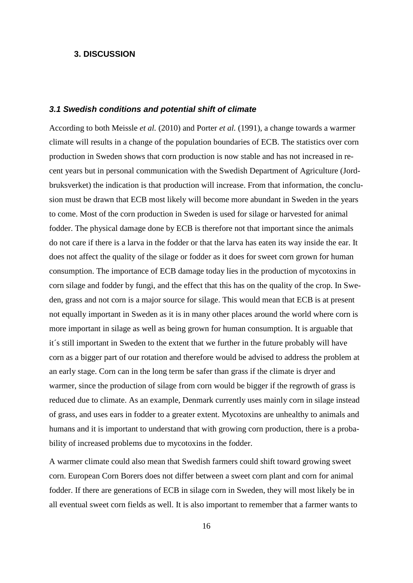# <span id="page-20-0"></span>**3. DISCUSSION**

#### <span id="page-20-1"></span>*3.1 Swedish conditions and potential shift of climate*

According to both Meissle *et al.* (2010) and Porter *et al.* (1991), a change towards a warmer climate will results in a change of the population boundaries of ECB. The statistics over corn production in Sweden shows that corn production is now stable and has not increased in recent years but in personal communication with the Swedish Department of Agriculture (Jordbruksverket) the indication is that production will increase. From that information, the conclusion must be drawn that ECB most likely will become more abundant in Sweden in the years to come. Most of the corn production in Sweden is used for silage or harvested for animal fodder. The physical damage done by ECB is therefore not that important since the animals do not care if there is a larva in the fodder or that the larva has eaten its way inside the ear. It does not affect the quality of the silage or fodder as it does for sweet corn grown for human consumption. The importance of ECB damage today lies in the production of mycotoxins in corn silage and fodder by fungi, and the effect that this has on the quality of the crop. In Sweden, grass and not corn is a major source for silage. This would mean that ECB is at present not equally important in Sweden as it is in many other places around the world where corn is more important in silage as well as being grown for human consumption. It is arguable that it´s still important in Sweden to the extent that we further in the future probably will have corn as a bigger part of our rotation and therefore would be advised to address the problem at an early stage. Corn can in the long term be safer than grass if the climate is dryer and warmer, since the production of silage from corn would be bigger if the regrowth of grass is reduced due to climate. As an example, Denmark currently uses mainly corn in silage instead of grass, and uses ears in fodder to a greater extent. Mycotoxins are unhealthy to animals and humans and it is important to understand that with growing corn production, there is a probability of increased problems due to mycotoxins in the fodder.

A warmer climate could also mean that Swedish farmers could shift toward growing sweet corn. European Corn Borers does not differ between a sweet corn plant and corn for animal fodder. If there are generations of ECB in silage corn in Sweden, they will most likely be in all eventual sweet corn fields as well. It is also important to remember that a farmer wants to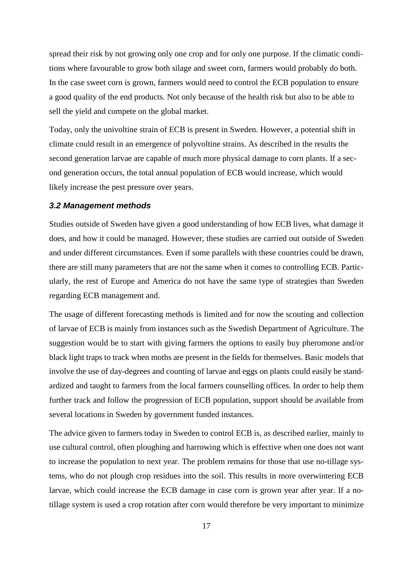spread their risk by not growing only one crop and for only one purpose. If the climatic conditions where favourable to grow both silage and sweet corn, farmers would probably do both. In the case sweet corn is grown, farmers would need to control the ECB population to ensure a good quality of the end products. Not only because of the health risk but also to be able to sell the yield and compete on the global market.

Today, only the univoltine strain of ECB is present in Sweden. However, a potential shift in climate could result in an emergence of polyvoltine strains. As described in the results the second generation larvae are capable of much more physical damage to corn plants. If a second generation occurs, the total annual population of ECB would increase, which would likely increase the pest pressure over years.

#### <span id="page-21-0"></span>*3.2 Management methods*

Studies outside of Sweden have given a good understanding of how ECB lives, what damage it does, and how it could be managed. However, these studies are carried out outside of Sweden and under different circumstances. Even if some parallels with these countries could be drawn, there are still many parameters that are not the same when it comes to controlling ECB. Particularly, the rest of Europe and America do not have the same type of strategies than Sweden regarding ECB management and.

The usage of different forecasting methods is limited and for now the scouting and collection of larvae of ECB is mainly from instances such as the Swedish Department of Agriculture. The suggestion would be to start with giving farmers the options to easily buy pheromone and/or black light traps to track when moths are present in the fields for themselves. Basic models that involve the use of day-degrees and counting of larvae and eggs on plants could easily be standardized and taught to farmers from the local farmers counselling offices. In order to help them further track and follow the progression of ECB population, support should be available from several locations in Sweden by government funded instances.

The advice given to farmers today in Sweden to control ECB is, as described earlier, mainly to use cultural control, often ploughing and harrowing which is effective when one does not want to increase the population to next year. The problem remains for those that use no-tillage systems, who do not plough crop residues into the soil. This results in more overwintering ECB larvae, which could increase the ECB damage in case corn is grown year after year. If a notillage system is used a crop rotation after corn would therefore be very important to minimize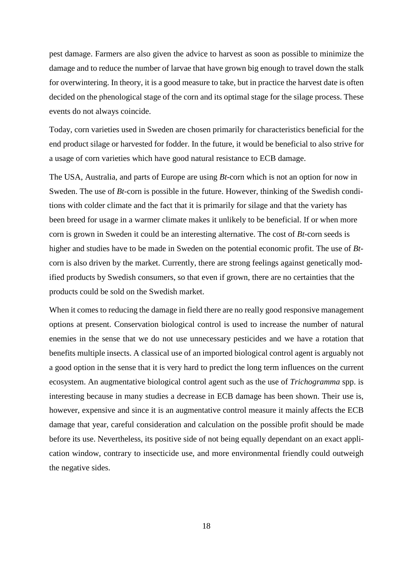pest damage. Farmers are also given the advice to harvest as soon as possible to minimize the damage and to reduce the number of larvae that have grown big enough to travel down the stalk for overwintering. In theory, it is a good measure to take, but in practice the harvest date is often decided on the phenological stage of the corn and its optimal stage for the silage process. These events do not always coincide.

Today, corn varieties used in Sweden are chosen primarily for characteristics beneficial for the end product silage or harvested for fodder. In the future, it would be beneficial to also strive for a usage of corn varieties which have good natural resistance to ECB damage.

The USA, Australia, and parts of Europe are using *Bt-*corn which is not an option for now in Sweden. The use of *Bt*-corn is possible in the future. However, thinking of the Swedish conditions with colder climate and the fact that it is primarily for silage and that the variety has been breed for usage in a warmer climate makes it unlikely to be beneficial. If or when more corn is grown in Sweden it could be an interesting alternative. The cost of *Bt*-corn seeds is higher and studies have to be made in Sweden on the potential economic profit. The use of *Bt*corn is also driven by the market. Currently, there are strong feelings against genetically modified products by Swedish consumers, so that even if grown, there are no certainties that the products could be sold on the Swedish market.

When it comes to reducing the damage in field there are no really good responsive management options at present. Conservation biological control is used to increase the number of natural enemies in the sense that we do not use unnecessary pesticides and we have a rotation that benefits multiple insects. A classical use of an imported biological control agent is arguably not a good option in the sense that it is very hard to predict the long term influences on the current ecosystem. An augmentative biological control agent such as the use of *Trichogramma* spp. is interesting because in many studies a decrease in ECB damage has been shown. Their use is, however, expensive and since it is an augmentative control measure it mainly affects the ECB damage that year, careful consideration and calculation on the possible profit should be made before its use. Nevertheless, its positive side of not being equally dependant on an exact application window, contrary to insecticide use, and more environmental friendly could outweigh the negative sides.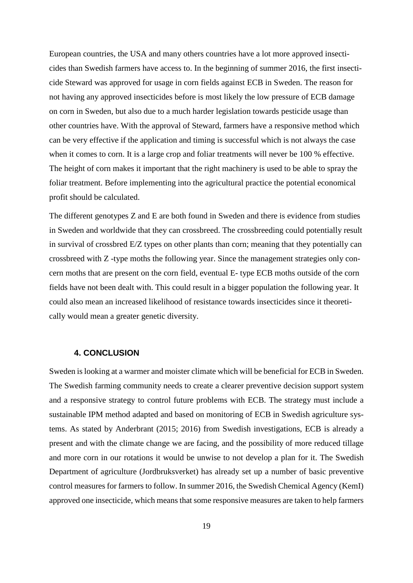European countries, the USA and many others countries have a lot more approved insecticides than Swedish farmers have access to. In the beginning of summer 2016, the first insecticide Steward was approved for usage in corn fields against ECB in Sweden. The reason for not having any approved insecticides before is most likely the low pressure of ECB damage on corn in Sweden, but also due to a much harder legislation towards pesticide usage than other countries have. With the approval of Steward, farmers have a responsive method which can be very effective if the application and timing is successful which is not always the case when it comes to corn. It is a large crop and foliar treatments will never be 100 % effective. The height of corn makes it important that the right machinery is used to be able to spray the foliar treatment. Before implementing into the agricultural practice the potential economical profit should be calculated.

The different genotypes Z and E are both found in Sweden and there is evidence from studies in Sweden and worldwide that they can crossbreed. The crossbreeding could potentially result in survival of crossbred E/Z types on other plants than corn; meaning that they potentially can crossbreed with Z -type moths the following year. Since the management strategies only concern moths that are present on the corn field, eventual E- type ECB moths outside of the corn fields have not been dealt with. This could result in a bigger population the following year. It could also mean an increased likelihood of resistance towards insecticides since it theoretically would mean a greater genetic diversity.

### **4. CONCLUSION**

<span id="page-23-0"></span>Sweden is looking at a warmer and moister climate which will be beneficial for ECB in Sweden. The Swedish farming community needs to create a clearer preventive decision support system and a responsive strategy to control future problems with ECB. The strategy must include a sustainable IPM method adapted and based on monitoring of ECB in Swedish agriculture systems. As stated by Anderbrant (2015; 2016) from Swedish investigations, ECB is already a present and with the climate change we are facing, and the possibility of more reduced tillage and more corn in our rotations it would be unwise to not develop a plan for it. The Swedish Department of agriculture (Jordbruksverket) has already set up a number of basic preventive control measures for farmers to follow. In summer 2016, the Swedish Chemical Agency (KemI) approved one insecticide, which means that some responsive measures are taken to help farmers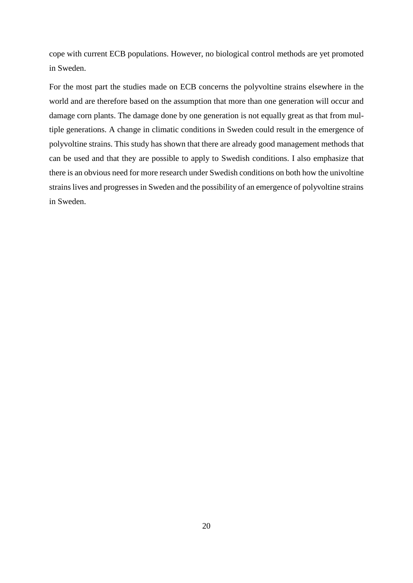cope with current ECB populations. However, no biological control methods are yet promoted in Sweden.

For the most part the studies made on ECB concerns the polyvoltine strains elsewhere in the world and are therefore based on the assumption that more than one generation will occur and damage corn plants. The damage done by one generation is not equally great as that from multiple generations. A change in climatic conditions in Sweden could result in the emergence of polyvoltine strains. This study has shown that there are already good management methods that can be used and that they are possible to apply to Swedish conditions. I also emphasize that there is an obvious need for more research under Swedish conditions on both how the univoltine strains lives and progresses in Sweden and the possibility of an emergence of polyvoltine strains in Sweden.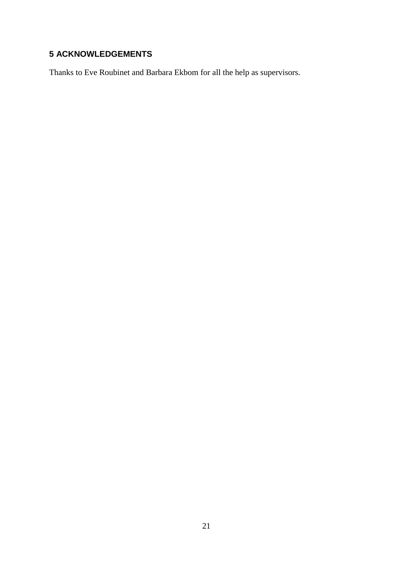# <span id="page-25-0"></span>**ACKNOWLEDGEMENTS**

Thanks to Eve Roubinet and Barbara Ekbom for all the help as supervisors.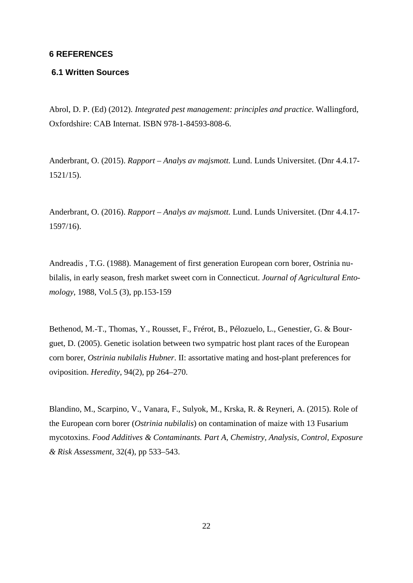# <span id="page-26-0"></span>**6 REFERENCES**

# <span id="page-26-1"></span>**6.1 Written Sources**

Abrol, D. P. (Ed) (2012). *Integrated pest management: principles and practice*. Wallingford, Oxfordshire: CAB Internat. ISBN 978-1-84593-808-6.

Anderbrant, O. (2015). *Rapport – Analys av majsmott.* Lund. Lunds Universitet. (Dnr 4.4.17- 1521/15).

Anderbrant, O. (2016). *Rapport – Analys av majsmott.* Lund. Lunds Universitet. (Dnr 4.4.17- 1597/16).

Andreadis , T.G. (1988). Management of first generation European corn borer, Ostrinia nubilalis, in early season, fresh market sweet corn in Connecticut. *Journal of Agricultural Entomology*, 1988, Vol.5 (3), pp.153-159

Bethenod, M.-T., Thomas, Y., Rousset, F., Frérot, B., Pélozuelo, L., Genestier, G. & Bourguet, D. (2005). Genetic isolation between two sympatric host plant races of the European corn borer, *Ostrinia nubilalis Hubner*. II: assortative mating and host-plant preferences for oviposition. *Heredity*, 94(2), pp 264–270.

Blandino, M., Scarpino, V., Vanara, F., Sulyok, M., Krska, R. & Reyneri, A. (2015). Role of the European corn borer (*Ostrinia nubilalis*) on contamination of maize with 13 Fusarium mycotoxins. *Food Additives & Contaminants. Part A, Chemistry, Analysis, Control, Exposure & Risk Assessment*, 32(4), pp 533–543.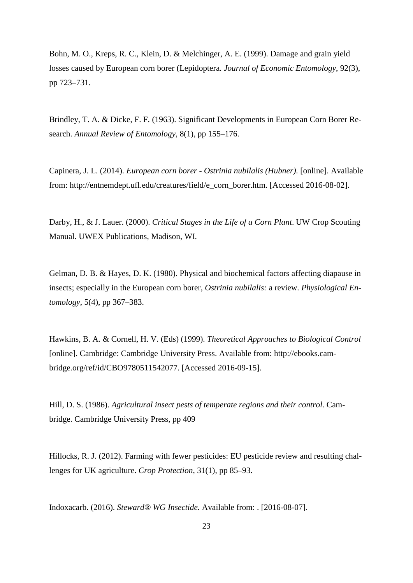Bohn, M. O., Kreps, R. C., Klein, D. & Melchinger, A. E. (1999). Damage and grain yield losses caused by European corn borer (Lepidoptera. *Journal of Economic Entomology*, 92(3), pp 723–731.

Brindley, T. A. & Dicke, F. F. (1963). Significant Developments in European Corn Borer Research. *Annual Review of Entomology*, 8(1), pp 155–176.

Capinera, J. L. (2014). *European corn borer - Ostrinia nubilalis (Hubner)*. [online]. Available from: http://entnemdept.ufl.edu/creatures/field/e\_corn\_borer.htm. [Accessed 2016-08-02].

Darby, H., & J. Lauer. (2000). *[Critical Stages in the Life of a Corn Plant](http://corn.agronomy.wisc.edu/Management/pdfs/CriticalStages.pdf)*. UW Crop Scouting Manual. UWEX Publications, Madison, WI.

Gelman, D. B. & Hayes, D. K. (1980). Physical and biochemical factors affecting diapause in insects; especially in the European corn borer, *Ostrinia nubilalis:* a review. *Physiological Entomology*, 5(4), pp 367–383.

Hawkins, B. A. & Cornell, H. V. (Eds) (1999). *Theoretical Approaches to Biological Control* [online]. Cambridge: Cambridge University Press. Available from: http://ebooks.cambridge.org/ref/id/CBO9780511542077. [Accessed 2016-09-15].

Hill, D. S. (1986). *Agricultural insect pests of temperate regions and their control*. Cambridge. Cambridge University Press, pp 409

Hillocks, R. J. (2012). Farming with fewer pesticides: EU pesticide review and resulting challenges for UK agriculture. *Crop Protection*, 31(1), pp 85–93.

Indoxacarb. (2016). *Steward® WG Insectide.* Available from: . [2016-08-07].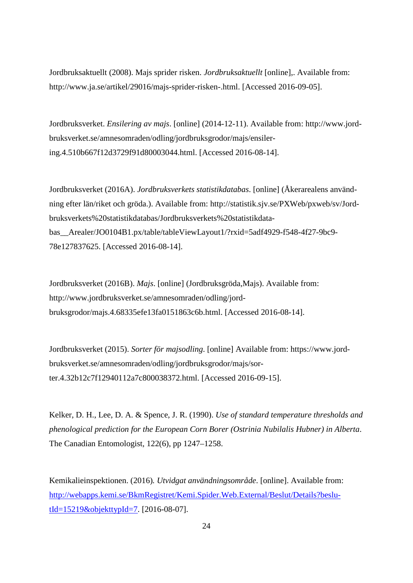Jordbruksaktuellt (2008). Majs sprider risken. *Jordbruksaktuellt* [online],. Available from: http://www.ja.se/artikel/29016/majs-sprider-risken-.html. [Accessed 2016-09-05].

Jordbruksverket. *Ensilering av majs*. [online] (2014-12-11). Available from: http://www.jordbruksverket.se/amnesomraden/odling/jordbruksgrodor/majs/ensilering.4.510b667f12d3729f91d80003044.html. [Accessed 2016-08-14].

Jordbruksverket (2016A). *Jordbruksverkets statistikdatabas*. [online] (Åkerarealens användning efter län/riket och gröda.). Available from: http://statistik.sjv.se/PXWeb/pxweb/sv/Jordbruksverkets%20statistikdatabas/Jordbruksverkets%20statistikdatabas\_\_Arealer/JO0104B1.px/table/tableViewLayout1/?rxid=5adf4929-f548-4f27-9bc9- 78e127837625. [Accessed 2016-08-14].

Jordbruksverket (2016B). *Majs*. [online] (Jordbruksgröda,Majs). Available from: http://www.jordbruksverket.se/amnesomraden/odling/jordbruksgrodor/majs.4.68335efe13fa0151863c6b.html. [Accessed 2016-08-14].

Jordbruksverket (2015). *Sorter för majsodling*. [online] Available from: https://www.jordbruksverket.se/amnesomraden/odling/jordbruksgrodor/majs/sorter.4.32b12c7f12940112a7c800038372.html. [Accessed 2016-09-15].

Kelker, D. H., Lee, D. A. & Spence, J. R. (1990). *Use of standard temperature thresholds and phenological prediction for the European Corn Borer (Ostrinia Nubilalis Hubner) in Alberta*. The Canadian Entomologist, 122(6), pp 1247–1258.

Kemikalieinspektionen. (2016)*. Utvidgat användningsområde*. [online]. Available from: [http://webapps.kemi.se/BkmRegistret/Kemi.Spider.Web.External/Beslut/Details?beslu](http://webapps.kemi.se/BkmRegistret/Kemi.Spider.Web.External/Beslut/Details?beslutId=15219&objekttypId=7)[tId=15219&objekttypId=7.](http://webapps.kemi.se/BkmRegistret/Kemi.Spider.Web.External/Beslut/Details?beslutId=15219&objekttypId=7) [2016-08-07].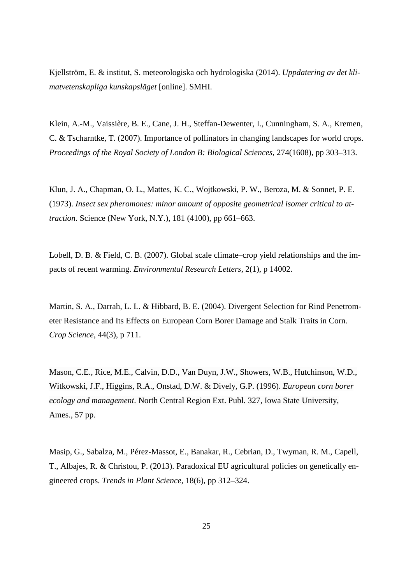Kjellström, E. & institut, S. meteorologiska och hydrologiska (2014). *Uppdatering av det klimatvetenskapliga kunskapsläget* [online]. SMHI.

Klein, A.-M., Vaissière, B. E., Cane, J. H., Steffan-Dewenter, I., Cunningham, S. A., Kremen, C. & Tscharntke, T. (2007). Importance of pollinators in changing landscapes for world crops. *Proceedings of the Royal Society of London B: Biological Sciences*, 274(1608), pp 303–313.

Klun, J. A., Chapman, O. L., Mattes, K. C., Wojtkowski, P. W., Beroza, M. & Sonnet, P. E. (1973). *Insect sex pheromones: minor amount of opposite geometrical isomer critical to attraction.* Science (New York, N.Y.), 181 (4100), pp 661–663.

Lobell, D. B. & Field, C. B. (2007). Global scale climate–crop yield relationships and the impacts of recent warming. *Environmental Research Letters*, 2(1), p 14002.

Martin, S. A., Darrah, L. L. & Hibbard, B. E. (2004). Divergent Selection for Rind Penetrometer Resistance and Its Effects on European Corn Borer Damage and Stalk Traits in Corn. *Crop Science*, 44(3), p 711.

Mason, C.E., Rice, M.E., Calvin, D.D., Van Duyn, J.W., Showers, W.B., Hutchinson, W.D., Witkowski, J.F., Higgins, R.A., Onstad, D.W. & Dively, G.P. (1996). *European corn borer ecology and management.* North Central Region Ext. Publ. 327, Iowa State University, Ames., 57 pp.

Masip, G., Sabalza, M., Pérez-Massot, E., Banakar, R., Cebrian, D., Twyman, R. M., Capell, T., Albajes, R. & Christou, P. (2013). Paradoxical EU agricultural policies on genetically engineered crops. *Trends in Plant Science*, 18(6), pp 312–324.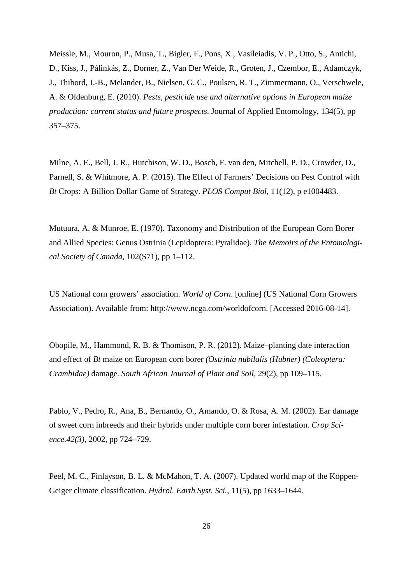Meissle, M., Mouron, P., Musa, T., Bigler, F., Pons, X., Vasileiadis, V. P., Otto, S., Antichi, D., Kiss, J., Pálinkás, Z., Dorner, Z., Van Der Weide, R., Groten, J., Czembor, E., Adamczyk, J., Thibord, J.-B., Melander, B., Nielsen, G. C., Poulsen, R. T., Zimmermann, O., Verschwele, A. & Oldenburg, E. (2010). *Pests, pesticide use and alternative options in European maize production: current status and future prospects*. Journal of Applied Entomology, 134(5), pp 357–375.

Milne, A. E., Bell, J. R., Hutchison, W. D., Bosch, F. van den, Mitchell, P. D., Crowder, D., Parnell, S. & Whitmore, A. P. (2015). The Effect of Farmers' Decisions on Pest Control with *Bt* Crops: A Billion Dollar Game of Strategy. *PLOS Comput Biol*, 11(12), p e1004483.

Mutuura, A. & Munroe, E. (1970). Taxonomy and Distribution of the European Corn Borer and Allied Species: Genus Ostrinia (Lepidoptera: Pyralidae). *The Memoirs of the Entomological Society of Canada*, 102(S71), pp 1–112.

US National corn growers' association. *World of Corn*. [online] (US National Corn Growers Association). Available from: http://www.ncga.com/worldofcorn. [Accessed 2016-08-14].

Obopile, M., Hammond, R. B. & Thomison, P. R. (2012). Maize–planting date interaction and effect of *Bt* maize on European corn borer *(Ostrinia nubilalis (Hubner) (Coleoptera: Crambidae)* damage. *South African Journal of Plant and Soil,* 29(2), pp 109–115.

Pablo, V., Pedro, R., Ana, B., Bernando, O., Amando, O. & Rosa, A. M. (2002). Ear damage of sweet corn inbreeds and their hybrids under multiple corn borer infestation. *Crop Science.42(3)*, 2002, pp 724–729.

Peel, M. C., Finlayson, B. L. & McMahon, T. A. (2007). Updated world map of the Köppen-Geiger climate classification. *Hydrol. Earth Syst. Sci.*, 11(5), pp 1633–1644.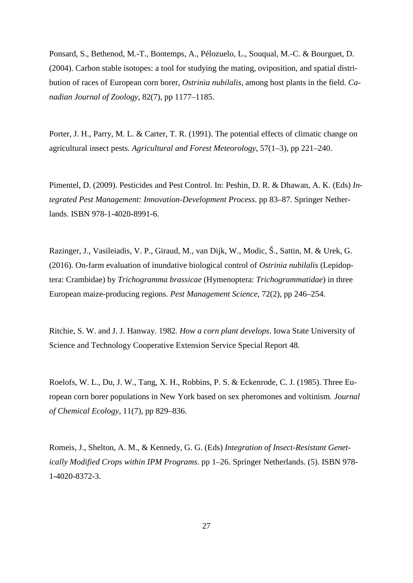Ponsard, S., Bethenod, M.-T., Bontemps, A., Pélozuelo, L., Souqual, M.-C. & Bourguet, D. (2004). Carbon stable isotopes: a tool for studying the mating, oviposition, and spatial distribution of races of European corn borer, *Ostrinia nubilalis*, among host plants in the field. *Canadian Journal of Zoology*, 82(7), pp 1177–1185.

Porter, J. H., Parry, M. L. & Carter, T. R. (1991). The potential effects of climatic change on agricultural insect pests*. Agricultural and Forest Meteorology*, 57(1–3), pp 221–240.

Pimentel, D. (2009). Pesticides and Pest Control. In: Peshin, D. R. & Dhawan, A. K. (Eds) *Integrated Pest Management: Innovation-Development Process*. pp 83–87. Springer Netherlands. ISBN 978-1-4020-8991-6.

Razinger, J., Vasileiadis, V. P., Giraud, M., van Dijk, W., Modic, Š., Sattin, M. & Urek, G. (2016). On-farm evaluation of inundative biological control of *Ostrinia nubilalis* (Lepidoptera: Crambidae) by *Trichogramma brassicae* (Hymenoptera: *Trichogrammatidae*) in three European maize-producing regions. *Pest Management Science*, 72(2), pp 246–254.

Ritchie, S. W. and J. J. Hanway. 1982*. How a corn plant develops*. Iowa State University of Science and Technology Cooperative Extension Service Special Report 48.

Roelofs, W. L., Du, J. W., Tang, X. H., Robbins, P. S. & Eckenrode, C. J. (1985). Three European corn borer populations in New York based on sex pheromones and voltinism*. Journal of Chemical Ecology*, 11(7), pp 829–836.

Romeis, J., Shelton, A. M., & Kennedy, G. G. (Eds) *Integration of Insect-Resistant Genetically Modified Crops within IPM Programs*. pp 1–26. Springer Netherlands. (5). ISBN 978- 1-4020-8372-3.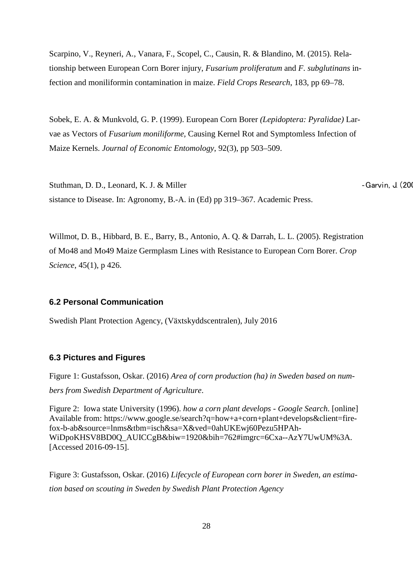Scarpino, V., Reyneri, A., Vanara, F., Scopel, C., Causin, R. & Blandino, M. (2015). Relationship between European Corn Borer injury, *Fusarium proliferatum* and *F. subglutinans* infection and moniliformin contamination in maize. *Field Crops Research*, 183, pp 69–78.

Sobek, E. A. & Munkvold, G. P. (1999). European Corn Borer *(Lepidoptera: Pyralidae)* Larvae as Vectors of *Fusarium moniliforme,* Causing Kernel Rot and Symptomless Infection of Maize Kernels. *Journal of Economic Entomology*, 92(3), pp 503–509.

Stuthman, D. D., Leonard, K. J. & Miller **Canadian Control Control Catalogue** - Garvin, J. (200 sistance to Disease. In: Agronomy, B.-A. in (Ed) pp 319–367. Academic Press.

Willmot, D. B., Hibbard, B. E., Barry, B., Antonio, A. Q. & Darrah, L. L. (2005). Registration of Mo48 and Mo49 Maize Germplasm Lines with Resistance to European Corn Borer. *Crop Science*, 45(1), p 426.

# <span id="page-32-0"></span>**6.2 Personal Communication**

Swedish Plant Protection Agency, (Växtskyddscentralen), July 2016

#### <span id="page-32-1"></span>**6.3 Pictures and Figures**

Figure 1: Gustafsson, Oskar. (2016) *Area of corn production (ha) in Sweden based on numbers from Swedish Department of Agriculture*.

Figure 2: Iowa state University (1996). *how a corn plant develops - Google Search*. [online] Available from: https://www.google.se/search?q=how+a+corn+plant+develops&client=firefox-b-ab&source=lnms&tbm=isch&sa=X&ved=0ahUKEwj60Pezu5HPAh-WiDpoKHSV8BD0Q\_AUICCgB&biw=1920&bih=762#imgrc=6Cxa--AzY7UwUM%3A. [Accessed 2016-09-15].

Figure 3: Gustafsson, Oskar. (2016) *Lifecycle of European corn borer in Sweden, an estimation based on scouting in Sweden by Swedish Plant Protection Agency*